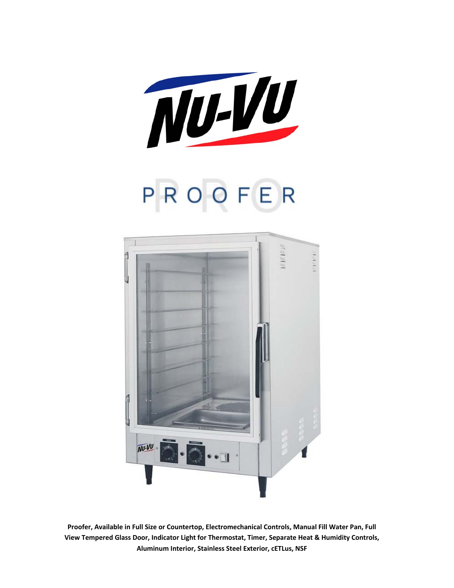

# PROOFER



**Proofer, Available in Full Size or Countertop, Electromechanical Controls, Manual Fill Water Pan, Full View Tempered Glass Door, Indicator Light for Thermostat, Timer, Separate Heat & Humidity Controls, Aluminum Interior, Stainless Steel Exterior, cETLus, NSF**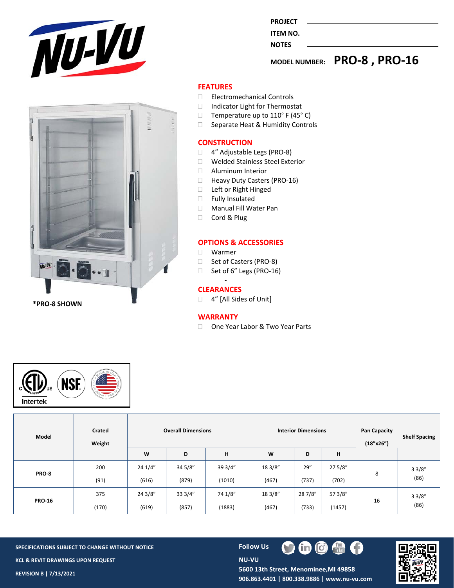

| ŕ |                               |        |   | $\mathcal{C}$ is $\mathcal{C}$ |             |
|---|-------------------------------|--------|---|--------------------------------|-------------|
| J |                               | u      |   |                                | $1 - 1 - 1$ |
|   |                               |        |   |                                |             |
|   |                               | ĥ      |   |                                |             |
|   |                               |        |   |                                |             |
| U |                               | w      |   |                                |             |
|   | 味にな<br>$NU-VU$<br>$\sim 10^5$ | $\Box$ | ø |                                |             |
|   | *PRO-8 SHOWN                  |        |   |                                |             |

|                | MODEL NUMBER: PRO-8, PRO-16 |
|----------------|-----------------------------|
| <b>NOTES</b>   |                             |
| ITEM NO.       |                             |
|                |                             |
| <b>PROJECT</b> |                             |

### **FEATURES**

- □ Electromechanical Controls
- □ Indicator Light for Thermostat
- $\Box$  Temperature up to 110° F (45° C)
- □ Separate Heat & Humidity Controls

#### **CONSTRUCTION**

- □ 4" Adjustable Legs (PRO-8)
- Welded Stainless Steel Exterior
- **Aluminum Interior**
- □ Heavy Duty Casters (PRO-16)
- □ Left or Right Hinged
- Fully Insulated
- Manual Fill Water Pan
- Cord & Plug

#### **OPTIONS & ACCESSORIES**

- Warmer
- □ Set of Casters (PRO-8)
- □ Set of 6" Legs (PRO-16)

#### ‐ **CLEARANCES**

□ 4" [All Sides of Unit]

#### **WARRANTY**

□ One Year Labor & Two Year Parts



| Model         | Crated<br>Weight |         | <b>Overall Dimensions</b> |         | <b>Interior Dimensions</b> |         |         | <b>Pan Capacity</b><br>(18"x26") | <b>Shelf Spacing</b> |
|---------------|------------------|---------|---------------------------|---------|----------------------------|---------|---------|----------------------------------|----------------------|
|               |                  | W       | D                         | н       | W                          | D       | н       |                                  |                      |
|               | 200              | 24 1/4" | 34 5/8"                   | 39 3/4" | 18 3/8"                    | 29''    | 27 5/8" | 8                                | 33/8"<br>(86)        |
| PRO-8         | (91)             | (616)   | (879)                     | (1010)  | (467)                      | (737)   | (702)   |                                  |                      |
|               | 375              | 24 3/8" | 33 3/4"                   | 74 1/8" | 18 3/8"                    | 28 7/8" | 57 3/8" | 16                               | 33/8"<br>(86)        |
| <b>PRO-16</b> | (170)            | (619)   | (857)                     | (1883)  | (467)                      | (733)   | (1457)  |                                  |                      |

**SPECIFICATIONS SUBJECT TO CHANGE WITHOUT NOTICE <b>FOLLOW US KCL & REVIT DRAWINGS UPON REQUEST REVISION B | 7/13/2021** 

**NU-VU** 



5600 13th Street, Menominee, MI 49858 **906.863.4401 | 800.338.9886 | www.nu‐vu.com** 

m

V

**COL** 

 $\lbrack 0 \rbrack$